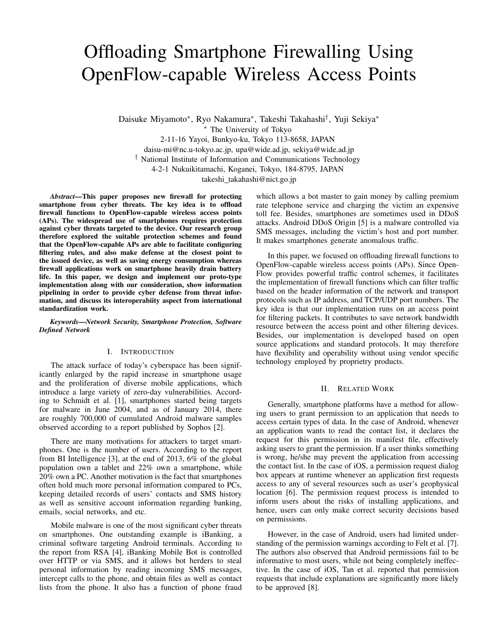# Offloading Smartphone Firewalling Using OpenFlow-capable Wireless Access Points

Daisuke Miyamoto<sup>∗</sup> , Ryo Nakamura<sup>∗</sup> , Takeshi Takahashi† , Yuji Sekiya<sup>∗</sup> <sup>∗</sup> The University of Tokyo 2-11-16 Yayoi, Bunkyo-ku, Tokyo 113-8658, JAPAN daisu-mi@nc.u-tokyo.ac.jp, upa@wide.ad.jp, sekiya@wide.ad.jp † National Institute of Information and Communications Technology 4-2-1 Nukuikitamachi, Koganei, Tokyo, 184-8795, JAPAN takeshi takahashi@nict.go.jp

*Abstract*—This paper proposes new firewall for protecting smartphone from cyber threats. The key idea is to offload firewall functions to OpenFlow-capable wireless access points (APs). The widespread use of smartphones requires protection against cyber threats targeted to the device. Our research group therefore explored the suitable protection schemes and found that the OpenFlow-capable APs are able to facilitate configuring filtering rules, and also make defense at the closest point to the issued device, as well as saving energy consumption whereas firewall applications work on smartphone heavily drain battery life. In this paper, we design and implement our proto-type implementation along with our consideration, show information pipelining in order to provide cyber defense from threat information, and discuss its interoperabiity aspect from international standardization work.

*Keywords*—*Network Security, Smartphone Protection, Software Defined Network*

# I. INTRODUCTION

The attack surface of today's cyberspace has been significantly enlarged by the rapid increase in smartphone usage and the proliferation of diverse mobile applications, which introduce a large variety of zero-day vulnerabilities. According to Schmidt et al. [1], smartphones started being targets for malware in June 2004, and as of January 2014, there are roughly 700,000 of cumulated Android malware samples observed according to a report published by Sophos [2].

There are many motivations for attackers to target smartphones. One is the number of users. According to the report from BI Intelligence [3], at the end of 2013, 6% of the global population own a tablet and 22% own a smartphone, while 20% own a PC. Another motivation is the fact that smartphones often hold much more personal information compared to PCs, keeping detailed records of users' contacts and SMS history as well as sensitive account information regarding banking, emails, social networks, and etc.

Mobile malware is one of the most significant cyber threats on smartphones. One outstanding example is iBanking, a criminal software targeting Android terminals. According to the report from RSA [4], iBanking Mobile Bot is controlled over HTTP or via SMS, and it allows bot herders to steal personal information by reading incoming SMS messages, intercept calls to the phone, and obtain files as well as contact lists from the phone. It also has a function of phone fraud which allows a bot master to gain money by calling premium rate telephone service and charging the victim an expensive toll fee. Besides, smartphones are sometimes used in DDoS attacks. Android DDoS Origin [5] is a malware controlled via SMS messages, including the victim's host and port number. It makes smartphones generate anomalous traffic.

In this paper, we focused on offloading firewall functions to OpenFlow-capable wireless access points (APs). Since Open-Flow provides powerful traffic control schemes, it facilitates the implementation of firewall functions which can filter traffic based on the header information of the network and transport protocols such as IP address, and TCP/UDP port numbers. The key idea is that our implementation runs on an access point for filtering packets. It contributes to save network bandwidth resource between the access point and other filtering devices. Besides, our implementation is developed based on open source applications and standard protocols. It may therefore have flexibility and operability without using vendor specific technology employed by proprietry products.

## II. RELATED WORK

Generally, smartphone platforms have a method for allowing users to grant permission to an application that needs to access certain types of data. In the case of Android, whenever an application wants to read the contact list, it declares the request for this permission in its manifest file, effectively asking users to grant the permission. If a user thinks something is wrong, he/she may prevent the application from accessing the contact list. In the case of iOS, a permission request dialog box appears at runtime whenever an application first requests access to any of several resources such as user's geophysical location [6]. The permission request process is intended to inform users about the risks of installing applications, and hence, users can only make correct security decisions based on permissions.

However, in the case of Android, users had limited understanding of the permission warnings according to Felt et al. [7]. The authors also observed that Android permissions fail to be informative to most users, while not being completely ineffective. In the case of iOS, Tan et al. reported that permission requests that include explanations are significantly more likely to be approved [8].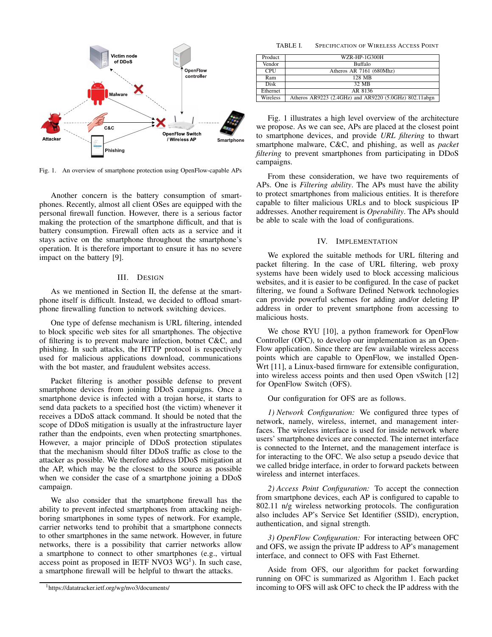

Fig. 1. An overview of smartphone protection using OpenFlow-capable APs

Another concern is the battery consumption of smartphones. Recently, almost all client OSes are equipped with the personal firewall function. However, there is a serious factor making the protection of the smartphone difficult, and that is battery consumption. Firewall often acts as a service and it stays active on the smartphone throughout the smartphone's operation. It is therefore important to ensure it has no severe impact on the battery [9].

## III. DESIGN

As we mentioned in Section II, the defense at the smartphone itself is difficult. Instead, we decided to offload smartphone firewalling function to network switching devices.

One type of defense mechanism is URL filtering, intended to block specific web sites for all smartphones. The objective of filtering is to prevent malware infection, botnet C&C, and phishing. In such attacks, the HTTP protocol is respectively used for malicious applications download, communications with the bot master, and fraudulent websites access.

Packet filtering is another possible defense to prevent smartphone devices from joining DDoS campaigns. Once a smartphone device is infected with a trojan horse, it starts to send data packets to a specified host (the victim) whenever it receives a DDoS attack command. It should be noted that the scope of DDoS mitigation is usually at the infrastructure layer rather than the endpoints, even when protecting smartphones. However, a major principle of DDoS protection stipulates that the mechanism should filter DDoS traffic as close to the attacker as possible. We therefore address DDoS mitigation at the AP, which may be the closest to the source as possible when we consider the case of a smartphone joining a DDoS campaign.

We also consider that the smartphone firewall has the ability to prevent infected smartphones from attacking neighboring smartphones in some types of network. For example, carrier networks tend to prohibit that a smartphone connects to other smartphones in the same network. However, in future networks, there is a possibility that carrier networks allow a smartphone to connect to other smartphones (e.g., virtual access point as proposed in IETF NVO3  $WG<sup>1</sup>$ ). In such case, a smartphone firewall will be helpful to thwart the attacks.

TABLE I. SPECIFICATION OF WIRELESS ACCESS POINT

| Product    | <b>WZR-HP-1G300H</b>                                   |
|------------|--------------------------------------------------------|
| Vendor     | <b>Buffalo</b>                                         |
| <b>CPU</b> | Atheros AR 7161 (680Mhz)                               |
| Ram        | 128 MB                                                 |
| Disk       | 32 MB                                                  |
| Ethernet   | AR 8136                                                |
| Wireless   | Atheros AR9223 (2.4GHz) and AR9220 (5.0GHz) 802.11abgn |

Fig. 1 illustrates a high level overview of the architecture we propose. As we can see, APs are placed at the closest point to smartphone devices, and provide *URL filtering* to thwart smartphone malware, C&C, and phishing, as well as *packet filtering* to prevent smartphones from participating in DDoS campaigns.

From these consideration, we have two requirements of APs. One is *Filtering ability*. The APs must have the ability to protect smartphones from malicious entities. It is therefore capable to filter malicious URLs and to block suspicious IP addresses. Another requirement is *Operability*. The APs should be able to scale with the load of configurations.

#### IV. IMPLEMENTATION

We explored the suitable methods for URL filtering and packet filtering. In the case of URL filtering, web proxy systems have been widely used to block accessing malicious websites, and it is easier to be configured. In the case of packet filtering, we found a Software Defined Network technologies can provide powerful schemes for adding and/or deleting IP address in order to prevent smartphone from accessing to malicious hosts.

We chose RYU [10], a python framework for OpenFlow Controller (OFC), to develop our implementation as an Open-Flow application. Since there are few available wireless access points which are capable to OpenFlow, we installed Open-Wrt [11], a Linux-based firmware for extensible configuration, into wireless access points and then used Open vSwitch [12] for OpenFlow Switch (OFS).

Our configuration for OFS are as follows.

*1) Network Configuration:* We configured three types of network, namely, wireless, internet, and management interfaces. The wireless interface is used for inside network where users' smartphone devices are connected. The internet interface is connected to the Internet, and the management interface is for interacting to the OFC. We also setup a pseudo device that we called bridge interface, in order to forward packets between wireless and internet interfaces.

*2) Access Point Configuration:* To accept the connection from smartphone devices, each AP is configured to capable to 802.11 n/g wireless networking protocols. The configuration also includes AP's Service Set Identifier (SSID), encryption, authentication, and signal strength.

*3) OpenFlow Configuration:* For interacting between OFC and OFS, we assign the private IP address to AP's management interface, and connect to OFS with Fast Ethernet.

Aside from OFS, our algorithm for packet forwarding running on OFC is summarized as Algorithm 1. Each packet incoming to OFS will ask OFC to check the IP address with the

<sup>1</sup>https://datatracker.ietf.org/wg/nvo3/documents/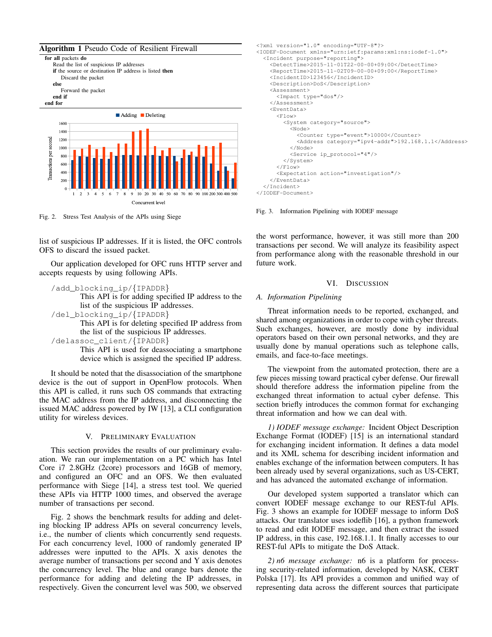### Algorithm 1 Pseudo Code of Resilient Firewall



Fig. 2. Stress Test Analysis of the APIs using Siege

list of suspicious IP addresses. If it is listed, the OFC controls OFS to discard the issued packet.

Our application developed for OFC runs HTTP server and accepts requests by using following APIs.

```
/add_blocking_ip/{IPADDR}
```
This API is for adding specified IP address to the list of the suspicious IP addresses.

/del\_blocking\_ip/{IPADDR}

This API is for deleting specified IP address from the list of the suspicious IP addresses.

/delassoc\_client/{IPADDR}

This API is used for deassociating a smartphone device which is assigned the specified IP address.

It should be noted that the disassociation of the smartphone device is the out of support in OpenFlow protocols. When this API is called, it runs such OS commands that extracting the MAC address from the IP address, and disconnecting the issued MAC address powered by IW [13], a CLI configuration utility for wireless devices.

# V. PRELIMINARY EVALUATION

This section provides the results of our preliminary evaluation. We ran our implementation on a PC which has Intel Core i7 2.8GHz (2core) processors and 16GB of memory, and configured an OFC and an OFS. We then evaluated performance with Siege [14], a stress test tool. We queried these APIs via HTTP 1000 times, and observed the average number of transactions per second.

Fig. 2 shows the benchmark results for adding and deleting blocking IP address APIs on several concurrency levels, i.e., the number of clients which concurrently send requests. For each concurrency level, 1000 of randomly generated IP addresses were inputted to the APIs. X axis denotes the average number of transactions per second and Y axis denotes the concurrency level. The blue and orange bars denote the performance for adding and deleting the IP addresses, in respectively. Given the concurrent level was 500, we observed

```
<?xml version="1.0" encoding="UTF-8"?>
<IODEF-Document xmlns="urn:ietf:params:xml:ns:iodef-1.0">
  <Incident purpose="reporting">
    <DetectTime>2015-11-01T22-00-00+09:00</DetectTime>
    <ReportTime>2015-11-02T09-00-00+09:00</ReportTime>
    <IncidentID>123456</IncidentID>
    <Description>DoS</Description>
    <Assessment>
      <Impact type="dos"/>
    </Assessment>
    <EventData>
      <Flow>
        <System category="source">
          <Node>
            <Counter type="event">10000</Counter>
            <Address category="ipv4-addr">192.168.1.1</Address>
          </Node>
          <Service ip_protocol="4"/>
        </System>
      \langleFlow>
      <Expectation action="investigation"/>
    </EventData>
  </Incident>
</IODEF-Document>
```
Fig. 3. Information Pipelining with IODEF message

the worst performance, however, it was still more than 200 transactions per second. We will analyze its feasibility aspect from performance along with the reasonable threshold in our future work.

#### VI. DISCUSSION

## *A. Information Pipelining*

Threat information needs to be reported, exchanged, and shared among organizations in order to cope with cyber threats. Such exchanges, however, are mostly done by individual operators based on their own personal networks, and they are usually done by manual operations such as telephone calls, emails, and face-to-face meetings.

The viewpoint from the automated protection, there are a few pieces missing toward practical cyber defense. Our firewall should therefore address the information pipeline from the exchanged threat information to actual cyber defense. This section briefly introduces the common format for exchanging threat information and how we can deal with.

*1) IODEF message exchange:* Incident Object Description Exchange Format (IODEF) [15] is an international standard for exchanging incident information. It defines a data model and its XML schema for describing incident information and enables exchange of the information between computers. It has been already used by several organizations, such as US-CERT, and has advanced the automated exchange of information.

Our developed system supported a translator which can convert IODEF message exchange to our REST-ful APIs. Fig. 3 shows an example for IODEF message to inform DoS attacks. Our translator uses iodeflib [16], a python framework to read and edit IODEF message, and then extract the issued IP address, in this case, 192.168.1.1. It finally accesses to our REST-ful APIs to mitigate the DoS Attack.

*2) n6 message exchange:* n6 is a platform for processing security-related information, developed by NASK, CERT Polska [17]. Its API provides a common and unified way of representing data across the different sources that participate